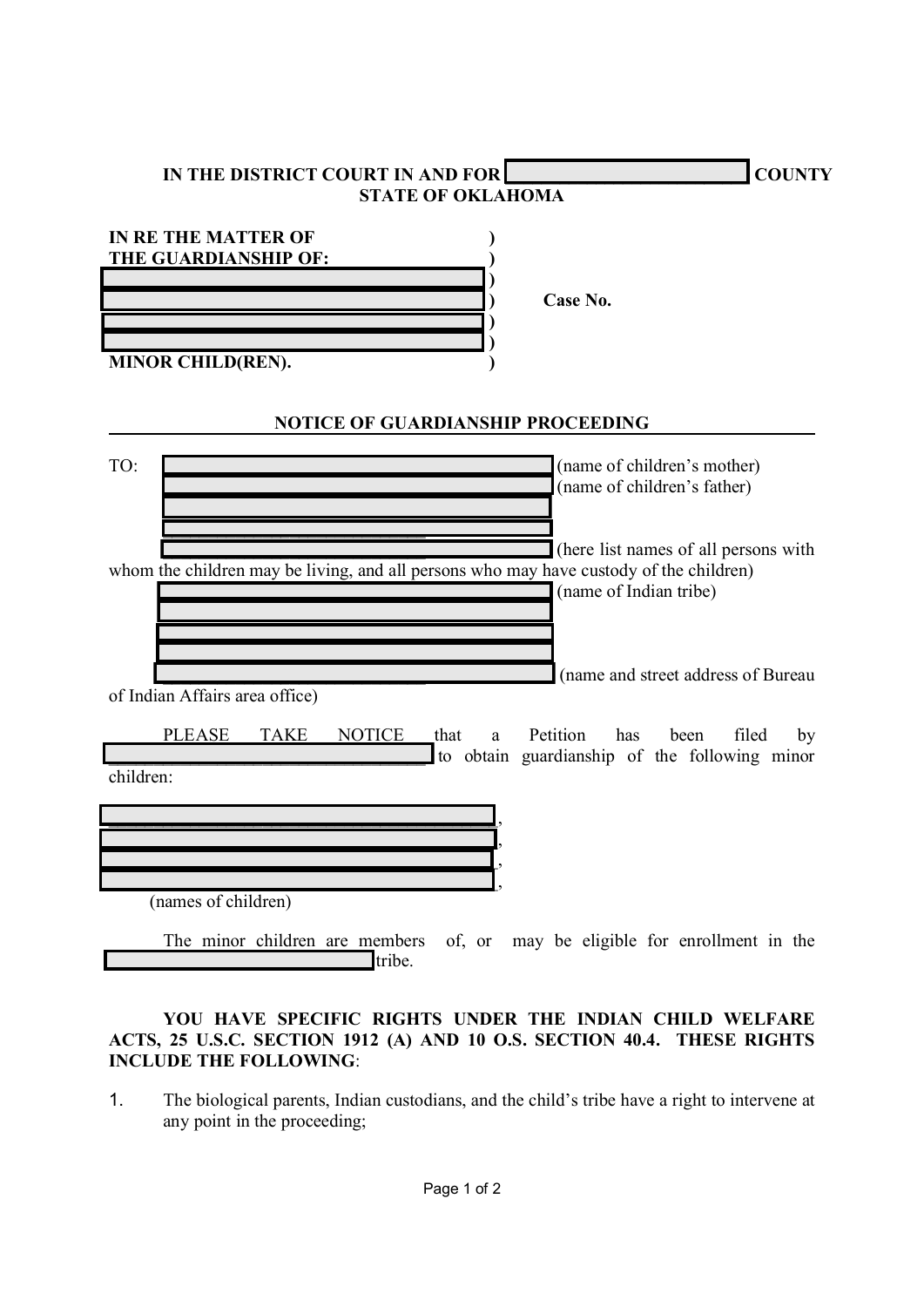| IN THE DISTRICT COURT IN AND FOR<br><b>COUNTY</b><br><b>STATE OF OKLAHOMA</b>                                                                                      |
|--------------------------------------------------------------------------------------------------------------------------------------------------------------------|
| <b>IN RE THE MATTER OF</b><br>THE GUARDIANSHIP OF:<br>Case No.<br><b>MINOR CHILD(REN).</b>                                                                         |
| <b>NOTICE OF GUARDIANSHIP PROCEEDING</b>                                                                                                                           |
| TO:<br>(name of children's mother)<br>(name of children's father)                                                                                                  |
| (here list names of all persons with<br>whom the children may be living, and all persons who may have custody of the children)<br>(name of Indian tribe)           |
| (name and street address of Bureau<br>of Indian Affairs area office)                                                                                               |
| Petition<br><b>PLEASE</b><br><b>TAKE</b><br><b>NOTICE</b><br>filed<br>that<br>has<br>been<br>by<br>a<br>to obtain guardianship of the following minor<br>children: |
| (names of children)                                                                                                                                                |
| The minor children are members of, or may be eligible for enrollment in the<br>tribe.                                                                              |

## YOU HAVE SPECIFIC RIGHTS UNDER THE INDIAN CHILD WELFARE ACTS, 25 U.S.C. SECTION 1912 (A) AND 10 O.S. SECTION 40.4. THESE RIGHTS INCLUDE THE FOLLOWING:

1. The biological parents, Indian custodians, and the child's tribe have a right to intervene at any point in the proceeding;